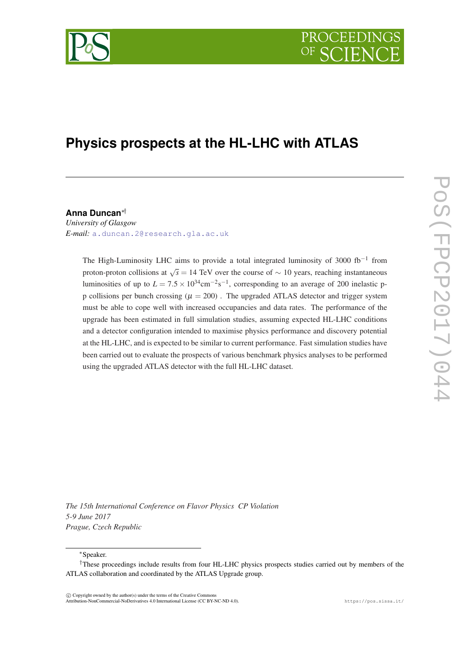

# **Physics prospects at the HL-LHC with ATLAS**

**Anna Duncan**∗†

*University of Glasgow E-mail:* [a.duncan.2@research.gla.ac.uk](mailto:a.duncan.2@research.gla.ac.uk)

> The High-Luminosity LHC aims to provide a total integrated luminosity of 3000 fb<sup>-1</sup> from proton-proton collisions at <sup>√</sup> *s* = 14 TeV over the course of ∼ 10 years, reaching instantaneous luminosities of up to  $L = 7.5 \times 10^{34} \text{cm}^{-2} \text{s}^{-1}$ , corresponding to an average of 200 inelastic pp collisions per bunch crossing ( $\mu = 200$ ). The upgraded ATLAS detector and trigger system must be able to cope well with increased occupancies and data rates. The performance of the upgrade has been estimated in full simulation studies, assuming expected HL-LHC conditions and a detector configuration intended to maximise physics performance and discovery potential at the HL-LHC, and is expected to be similar to current performance. Fast simulation studies have been carried out to evaluate the prospects of various benchmark physics analyses to be performed using the upgraded ATLAS detector with the full HL-LHC dataset.

*The 15th International Conference on Flavor Physics CP Violation 5-9 June 2017 Prague, Czech Republic*

<sup>∗</sup>Speaker.

 $\overline{c}$  Copyright owned by the author(s) under the terms of the Creative Common Attribution-NonCommercial-NoDerivatives 4.0 International License (CC BY-NC-ND 4.0). https://pos.sissa.it/

<sup>†</sup>These proceedings include results from four HL-LHC physics prospects studies carried out by members of the ATLAS collaboration and coordinated by the ATLAS Upgrade group.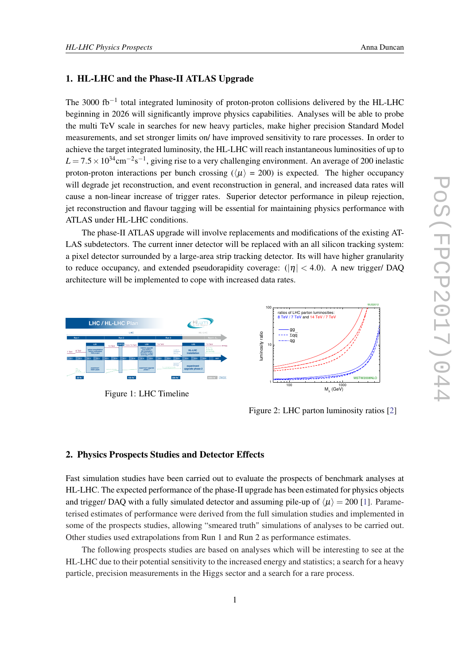# 1. HL-LHC and the Phase-II ATLAS Upgrade

The 3000 fb<sup>-1</sup> total integrated luminosity of proton-proton collisions delivered by the HL-LHC beginning in 2026 will significantly improve physics capabilities. Analyses will be able to probe the multi TeV scale in searches for new heavy particles, make higher precision Standard Model measurements, and set stronger limits on/ have improved sensitivity to rare processes. In order to achieve the target integrated luminosity, the HL-LHC will reach instantaneous luminosities of up to  $L = 7.5 \times 10^{34} \text{cm}^{-2} \text{s}^{-1}$ , giving rise to a very challenging environment. An average of 200 inelastic proton-proton interactions per bunch crossing ( $\langle \mu \rangle = 200$ ) is expected. The higher occupancy will degrade jet reconstruction, and event reconstruction in general, and increased data rates will cause a non-linear increase of trigger rates. Superior detector performance in pileup rejection, jet reconstruction and flavour tagging will be essential for maintaining physics performance with ATLAS under HL-LHC conditions.

The phase-II ATLAS upgrade will involve replacements and modifications of the existing AT-LAS subdetectors. The current inner detector will be replaced with an all silicon tracking system: a pixel detector surrounded by a large-area strip tracking detector. Its will have higher granularity to reduce occupancy, and extended pseudorapidity coverage:  $(|\eta| < 4.0)$ . A new trigger/ DAQ architecture will be implemented to cope with increased data rates.



Figure 2: LHC parton luminosity ratios [[2](#page-5-0)]

## 2. Physics Prospects Studies and Detector Effects

Fast simulation studies have been carried out to evaluate the prospects of benchmark analyses at HL-LHC. The expected performance of the phase-II upgrade has been estimated for physics objects and trigger/ DAQ with a fully simulated detector and assuming pile-up of  $\langle \mu \rangle = 200$  [\[1\]](#page-5-0). Parameterised estimates of performance were derived from the full simulation studies and implemented in some of the prospects studies, allowing "smeared truth" simulations of analyses to be carried out. Other studies used extrapolations from Run 1 and Run 2 as performance estimates.

The following prospects studies are based on analyses which will be interesting to see at the HL-LHC due to their potential sensitivity to the increased energy and statistics; a search for a heavy particle, precision measurements in the Higgs sector and a search for a rare process.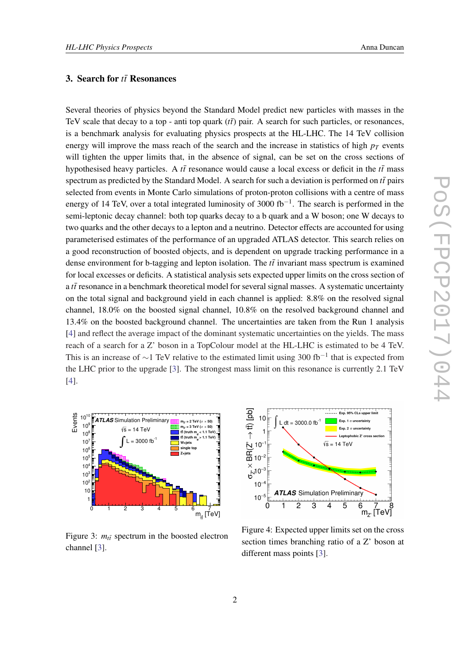## 3. Search for *tt*¯ Resonances

Several theories of physics beyond the Standard Model predict new particles with masses in the TeV scale that decay to a top - anti top quark  $(t\bar{t})$  pair. A search for such particles, or resonances, is a benchmark analysis for evaluating physics prospects at the HL-LHC. The 14 TeV collision energy will improve the mass reach of the search and the increase in statistics of high  $p_T$  events will tighten the upper limits that, in the absence of signal, can be set on the cross sections of hypothesised heavy particles. A  $t\bar{t}$  resonance would cause a local excess or deficit in the  $t\bar{t}$  mass spectrum as predicted by the Standard Model. A search for such a deviation is performed on  $t\bar{t}$  pairs selected from events in Monte Carlo simulations of proton-proton collisions with a centre of mass energy of 14 TeV, over a total integrated luminosity of 3000 fb<sup>-1</sup>. The search is performed in the semi-leptonic decay channel: both top quarks decay to a b quark and a W boson; one W decays to two quarks and the other decays to a lepton and a neutrino. Detector effects are accounted for using parameterised estimates of the performance of an upgraded ATLAS detector. This search relies on a good reconstruction of boosted objects, and is dependent on upgrade tracking performance in a dense environment for b-tagging and lepton isolation. The  $t\bar{t}$  invariant mass spectrum is examined for local excesses or deficits. A statistical analysis sets expected upper limits on the cross section of a  $t\bar{t}$  resonance in a benchmark theoretical model for several signal masses. A systematic uncertainty on the total signal and background yield in each channel is applied: 8.8% on the resolved signal channel, 18.0% on the boosted signal channel, 10.8% on the resolved background channel and 13.4% on the boosted background channel. The uncertainties are taken from the Run 1 analysis [[4](#page-5-0)] and reflect the average impact of the dominant systematic uncertainties on the yields. The mass reach of a search for a Z' boson in a TopColour model at the HL-LHC is estimated to be 4 TeV. This is an increase of  $\sim$ 1 TeV relative to the estimated limit using 300 fb<sup>-1</sup> that is expected from the LHC prior to the upgrade [\[3\]](#page-5-0). The strongest mass limit on this resonance is currently 2.1 TeV [[4](#page-5-0)].



Figure 3:  $m_{t\bar{t}}$  spectrum in the boosted electron channel [[3](#page-5-0)].



Figure 4: Expected upper limits set on the cross section times branching ratio of a Z' boson at different mass points [[3](#page-5-0)].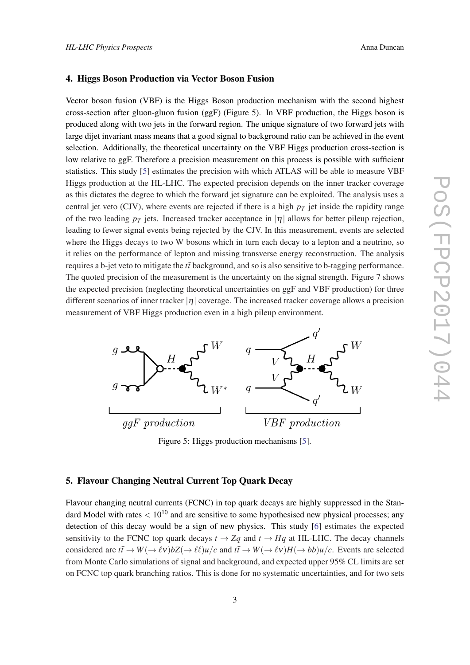## 4. Higgs Boson Production via Vector Boson Fusion

Vector boson fusion (VBF) is the Higgs Boson production mechanism with the second highest cross-section after gluon-gluon fusion (ggF) (Figure 5). In VBF production, the Higgs boson is produced along with two jets in the forward region. The unique signature of two forward jets with large dijet invariant mass means that a good signal to background ratio can be achieved in the event selection. Additionally, the theoretical uncertainty on the VBF Higgs production cross-section is low relative to ggF. Therefore a precision measurement on this process is possible with sufficient statistics. This study [[5](#page-5-0)] estimates the precision with which ATLAS will be able to measure VBF Higgs production at the HL-LHC. The expected precision depends on the inner tracker coverage as this dictates the degree to which the forward jet signature can be exploited. The analysis uses a central jet veto (CJV), where events are rejected if there is a high  $p<sub>T</sub>$  jet inside the rapidity range of the two leading  $p_T$  jets. Increased tracker acceptance in  $|\eta|$  allows for better pileup rejection, leading to fewer signal events being rejected by the CJV. In this measurement, events are selected where the Higgs decays to two W bosons which in turn each decay to a lepton and a neutrino, so it relies on the performance of lepton and missing transverse energy reconstruction. The analysis requires a b-jet veto to mitigate the  $t\bar{t}$  background, and so is also sensitive to b-tagging performance. The quoted precision of the measurement is the uncertainty on the signal strength. Figure 7 shows the expected precision (neglecting theoretical uncertainties on ggF and VBF production) for three different scenarios of inner tracker  $|\eta|$  coverage. The increased tracker coverage allows a precision measurement of VBF Higgs production even in a high pileup environment.



Figure 5: Higgs production mechanisms [[5](#page-5-0)].

# 5. Flavour Changing Neutral Current Top Quark Decay

Flavour changing neutral currents (FCNC) in top quark decays are highly suppressed in the Standard Model with rates  $< 10^{10}$  and are sensitive to some hypothesised new physical processes; any detection of this decay would be a sign of new physics. This study [\[6\]](#page-5-0) estimates the expected sensitivity to the FCNC top quark decays  $t \to Zq$  and  $t \to Hq$  at HL-LHC. The decay channels considered are  $t\bar{t} \to W(\to \ell \nu) bZ(\to \ell \ell) u/c$  and  $t\bar{t} \to W(\to \ell \nu) H(\to b\bar{b}) u/c$ . Events are selected from Monte Carlo simulations of signal and background, and expected upper 95% CL limits are set on FCNC top quark branching ratios. This is done for no systematic uncertainties, and for two sets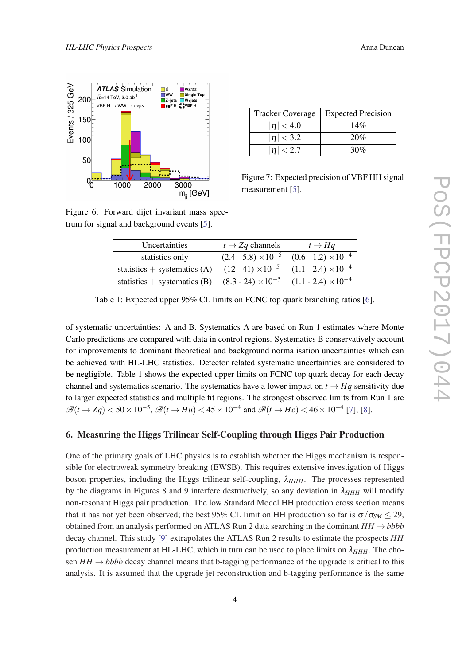

| <b>Tracker Coverage</b> | <b>Expected Precision</b> |  |
|-------------------------|---------------------------|--|
| $ \eta  < 4.0$          | 14%                       |  |
| $ \eta $ < 3.2          | 20%                       |  |
| $ \eta $ < 2.7          | 30%                       |  |

Figure 7: Expected precision of VBF HH signal measurement [[5](#page-5-0)].

Figure 6: Forward dijet invariant mass spectrum for signal and background events [\[5\]](#page-5-0).

| Uncertainties                  | $t \rightarrow Zq$ channels                               | $t \rightarrow Hq$           |
|--------------------------------|-----------------------------------------------------------|------------------------------|
| statistics only                | $(2.4 - 5.8) \times 10^{-5}$ $(0.6 - 1.2) \times 10^{-4}$ |                              |
| statistics $+$ systematics (A) | $(12 - 41) \times 10^{-5}$                                | $(1.1 - 2.4) \times 10^{-4}$ |
| statistics $+$ systematics (B) | $(8.3 - 24) \times 10^{-5}$                               | $(1.1 - 2.4) \times 10^{-4}$ |

Table 1: Expected upper 95% CL limits on FCNC top quark branching ratios [[6](#page-5-0)].

of systematic uncertainties: A and B. Systematics A are based on Run 1 estimates where Monte Carlo predictions are compared with data in control regions. Systematics B conservatively account for improvements to dominant theoretical and background normalisation uncertainties which can be achieved with HL-LHC statistics. Detector related systematic uncertainties are considered to be negligible. Table 1 shows the expected upper limits on FCNC top quark decay for each decay channel and systematics scenario. The systematics have a lower impact on  $t \rightarrow Hq$  sensitivity due to larger expected statistics and multiple fit regions. The strongest observed limits from Run 1 are  $\mathscr{B}(t \to Zq)$  < 50 × 10<sup>-5</sup>,  $\mathscr{B}(t \to Hu)$  < 45 × 10<sup>-4</sup> and  $\mathscr{B}(t \to Hc)$  < 46 × 10<sup>-4</sup> [\[7\]](#page-5-0), [\[8\]](#page-6-0).

### 6. Measuring the Higgs Trilinear Self-Coupling through Higgs Pair Production

One of the primary goals of LHC physics is to establish whether the Higgs mechanism is responsible for electroweak symmetry breaking (EWSB). This requires extensive investigation of Higgs boson properties, including the Higgs trilinear self-coupling,  $\lambda_{HHH}$ . The processes represented by the diagrams in Figures 8 and 9 interfere destructively, so any deviation in  $\lambda_{HHH}$  will modify non-resonant Higgs pair production. The low Standard Model HH production cross section means that it has not yet been observed; the best 95% CL limit on HH production so far is  $\sigma/\sigma_{SM} \leq 29$ , obtained from an analysis performed on ATLAS Run 2 data searching in the dominant *HH* → *bbbb* decay channel. This study [[9](#page-6-0)] extrapolates the ATLAS Run 2 results to estimate the prospects *HH* production measurement at HL-LHC, which in turn can be used to place limits on  $\lambda_{HHH}$ . The chosen  $HH \rightarrow bbbb$  decay channel means that b-tagging performance of the upgrade is critical to this analysis. It is assumed that the upgrade jet reconstruction and b-tagging performance is the same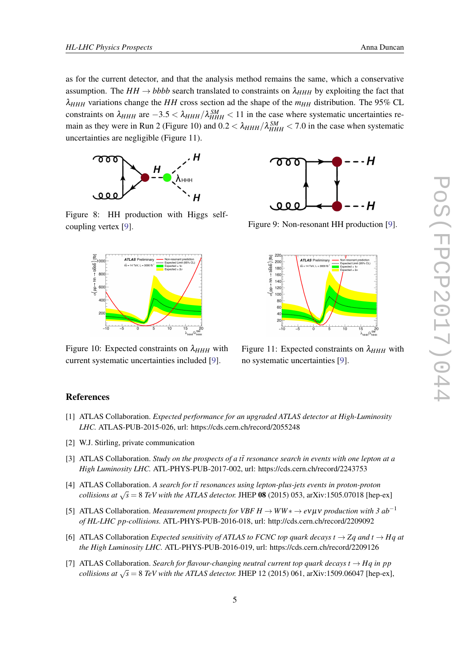<span id="page-5-0"></span>as for the current detector, and that the analysis method remains the same, which a conservative assumption. The  $HH \rightarrow bbbb$  search translated to constraints on  $\lambda_{HHH}$  by exploiting the fact that λ*HHH* variations change the *HH* cross section ad the shape of the *mHH* distribution. The 95% CL constraints on  $\lambda_{HHH}$  are  $-3.5 < \lambda_{HHH}/\lambda_{HHH}^{SM} < 11$  in the case where systematic uncertainties remain as they were in Run 2 (Figure 10) and  $0.2 < \lambda_{HHH}/\lambda_{HHH}^{SM} < 7.0$  in the case when systematic uncertainties are negligible (Figure 11).



Figure 8: HH production with Higgs self-coupling vertex [[9\]](#page-6-0). Figure [9](#page-6-0): Non-resonant HH production [9].



Figure 10: Expected constraints on  $\lambda_{HHH}$  with current systematic uncertainties included [\[9\]](#page-6-0).





Figure 11: Expected constraints on  $\lambda_{HHH}$  with no systematic uncertainties [[9](#page-6-0)].

#### References

- [1] ATLAS Collaboration. *Expected performance for an upgraded ATLAS detector at High-Luminosity LHC.* ATLAS-PUB-2015-026, url: https://cds.cern.ch/record/2055248
- [2] W.J. Stirling, private communication
- [3] ATLAS Collaboration. *Study on the prospects of a ttresonance search in events with one lepton at a High Luminosity LHC.* ATL-PHYS-PUB-2017-002, url: https://cds.cern.ch/record/2243753
- [4] ATLAS Collaboration. *A search for tt resonances using lepton-plus-jets events in proton-proton* ¯ *collisions at*  $\sqrt{s} = 8$  *TeV with the ATLAS detector.* JHEP 08 (2015) 053, arXiv:1505.07018 [hep-ex]
- [5] ATLAS Collaboration. *Measurement prospects for VBF H* → *WW*∗ → *e*νµν *production with 3 ab*−<sup>1</sup> *of HL-LHC pp-collisions.* ATL-PHYS-PUB-2016-018, url: http://cds.cern.ch/record/2209092
- [6] ATLAS Collaboration *Expected sensitivity of ATLAS to FCNC top quark decays t*  $\rightarrow$  *Zq and t*  $\rightarrow$  *Hq at the High Luminosity LHC.* ATL-PHYS-PUB-2016-019, url: https://cds.cern.ch/record/2209126
- [7] ATLAS Collaboration. *Search for flavour-changing neutral current top quark decays t*  $\rightarrow$  *Hq in pp collisions at* <sup>√</sup> *s* = 8 *TeV with the ATLAS detector.* JHEP 12 (2015) 061, arXiv:1509.06047 [hep-ex],